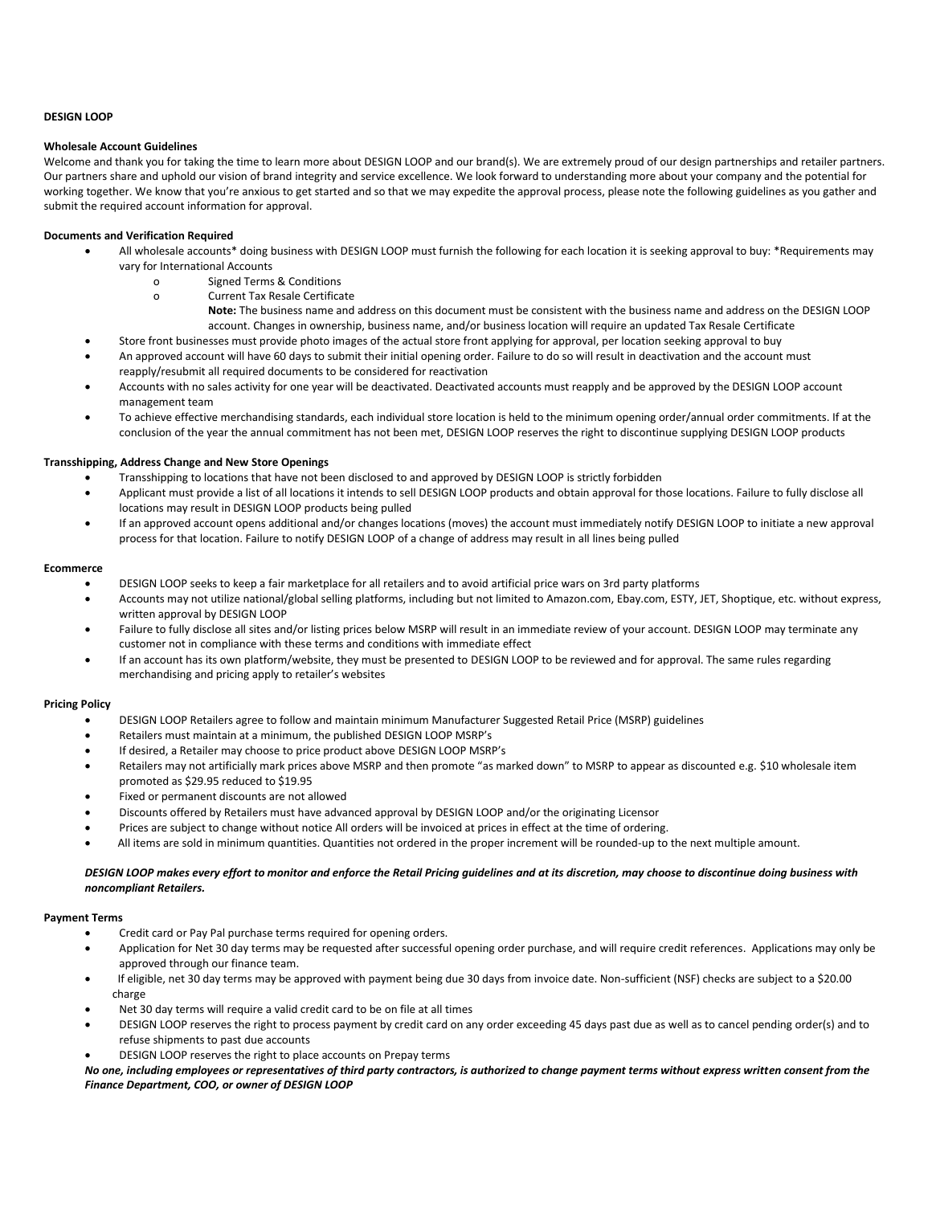# **DESIGN LOOP**

#### **Wholesale Account Guidelines**

Welcome and thank you for taking the time to learn more about DESIGN LOOP and our brand(s). We are extremely proud of our design partnerships and retailer partners. Our partners share and uphold our vision of brand integrity and service excellence. We look forward to understanding more about your company and the potential for working together. We know that you're anxious to get started and so that we may expedite the approval process, please note the following guidelines as you gather and submit the required account information for approval.

### **Documents and Verification Required**

- All wholesale accounts\* doing business with DESIGN LOOP must furnish the following for each location it is seeking approval to buy: \*Requirements may vary for International Accounts
	- o Signed Terms & Conditions
	- o Current Tax Resale Certificate
		- **Note:** The business name and address on this document must be consistent with the business name and address on the DESIGN LOOP account. Changes in ownership, business name, and/or business location will require an updated Tax Resale Certificate
- Store front businesses must provide photo images of the actual store front applying for approval, per location seeking approval to buy An approved account will have 60 days to submit their initial opening order. Failure to do so will result in deactivation and the account must reapply/resubmit all required documents to be considered for reactivation
- Accounts with no sales activity for one year will be deactivated. Deactivated accounts must reapply and be approved by the DESIGN LOOP account management team
- To achieve effective merchandising standards, each individual store location is held to the minimum opening order/annual order commitments. If at the conclusion of the year the annual commitment has not been met, DESIGN LOOP reserves the right to discontinue supplying DESIGN LOOP products

## **Transshipping, Address Change and New Store Openings**

- Transshipping to locations that have not been disclosed to and approved by DESIGN LOOP is strictly forbidden
- Applicant must provide a list of all locations it intends to sell DESIGN LOOP products and obtain approval for those locations. Failure to fully disclose all locations may result in DESIGN LOOP products being pulled
- If an approved account opens additional and/or changes locations (moves) the account must immediately notify DESIGN LOOP to initiate a new approval process for that location. Failure to notify DESIGN LOOP of a change of address may result in all lines being pulled

### **Ecommerce**

- DESIGN LOOP seeks to keep a fair marketplace for all retailers and to avoid artificial price wars on 3rd party platforms
- Accounts may not utilize national/global selling platforms, including but not limited to Amazon.com, Ebay.com, ESTY, JET, Shoptique, etc. without express, written approval by DESIGN LOOP
- Failure to fully disclose all sites and/or listing prices below MSRP will result in an immediate review of your account. DESIGN LOOP may terminate any customer not in compliance with these terms and conditions with immediate effect
- If an account has its own platform/website, they must be presented to DESIGN LOOP to be reviewed and for approval. The same rules regarding merchandising and pricing apply to retailer's websites

## **Pricing Policy**

- DESIGN LOOP Retailers agree to follow and maintain minimum Manufacturer Suggested Retail Price (MSRP) guidelines
- Retailers must maintain at a minimum, the published DESIGN LOOP MSRP's
- If desired, a Retailer may choose to price product above DESIGN LOOP MSRP's
- Retailers may not artificially mark prices above MSRP and then promote "as marked down" to MSRP to appear as discounted e.g. \$10 wholesale item promoted as \$29.95 reduced to \$19.95
- Fixed or permanent discounts are not allowed
- Discounts offered by Retailers must have advanced approval by DESIGN LOOP and/or the originating Licensor
- Prices are subject to change without notice All orders will be invoiced at prices in effect at the time of ordering.
- All items are sold in minimum quantities. Quantities not ordered in the proper increment will be rounded-up to the next multiple amount.

## *DESIGN LOOP makes every effort to monitor and enforce the Retail Pricing guidelines and at its discretion, may choose to discontinue doing business with noncompliant Retailers.*

#### **Payment Terms**

- Credit card or Pay Pal purchase terms required for opening orders.
- Application for Net 30 day terms may be requested after successful opening order purchase, and will require credit references. Applications may only be approved through our finance team.
- If eligible, net 30 day terms may be approved with payment being due 30 days from invoice date. Non-sufficient (NSF) checks are subject to a \$20.00 charge
- Net 30 day terms will require a valid credit card to be on file at all times
- DESIGN LOOP reserves the right to process payment by credit card on any order exceeding 45 days past due as well as to cancel pending order(s) and to refuse shipments to past due accounts
- DESIGN LOOP reserves the right to place accounts on Prepay terms

*No one, including employees or representatives of third party contractors, is authorized to change payment terms without express written consent from the Finance Department, COO, or owner of DESIGN LOOP*